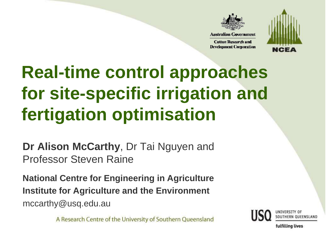

**Cotton Research and Development Corporation** 



# **Real-time control approaches for site-specific irrigation and fertigation optimisation**

**Dr Alison McCarthy**, Dr Tai Nguyen and Professor Steven Raine

**National Centre for Engineering in AgricultureInstitute for Agriculture and the Environment**mccarthy@usq.edu.au

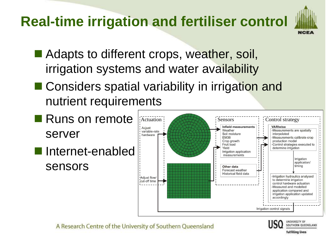## **Real-time irrigation and fertiliser control**



- Adapts to different crops, weather, soil, irrigation systems and water availability
- Considers spatial variability in irrigation and nutrient requirements
- Runs on remote **Actuation** Sensors  $\vdots$  Control strategy on Sensors Control strategy Aciust Weather -Measurements are spatially variable-rate serverSoil moisture interpolated hardware **EM38** Measurements calibrate crop-Crop growth production model Fruit load -Control strategies executed to Yield determine irrigation Internet-enabled Irrigation application measurements Irrigation application/ sensorstimina Other data Forecast weather Historical field data -Irrigation hydraulics analysed Adjust flow/ to determine irrigation cut-off time control hardware actuation -Measured and modelled application compared and irrigation application updated accordingly Irrigation control signals



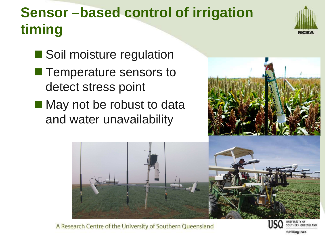# **Sensor –based control of irrigation timing**



- Soil moisture regulation
- Temperature sensors to detect stress point
- May not be robust to data and water unavailability





A Research Centre of the University of Southern Queensland

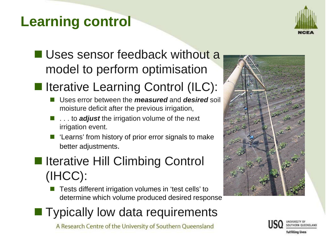## **Learning control**



#### ■ Uses sensor feedback without a model to perform optimisation

# In Iterative Learning Control (ILC):

- Uses error between the **measured** and **desired** soil moisture deficit after the previous irrigation,
- **1** . . . to **adjust** the irrigation volume of the next irrigation event.
- F. 'Learns' from history of prior error signals to make better adjustments.

#### Interative Hill Climbing Control (IHCC):

- F. Tests different irrigation volumes in 'test cells' to determine which volume produced desired response
- **Typically low data requirements**



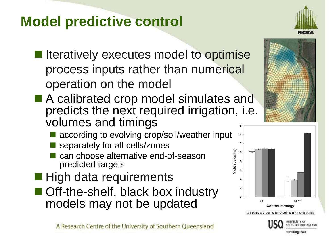### **Model predictive control**

- I Iteratively executes model to optimise process inputs rather than numerical operation on the model
- A calibrated crop model simulates and<br>A predicts the next required irrigation is predicts the next required irrigation, i.e. volumes and timings
	- according to evolving crop/soil/weather input
	- **Service Service** separately for all cells/zones
	- **Service Service** can choose alternative end-of-season predicted targets
- High data requirements
- Off-the-shelf, black box industry models may not be updated





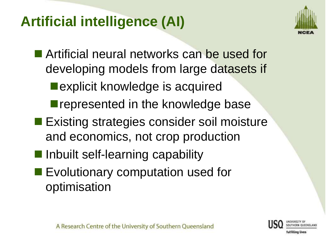## **Artificial intelligence (AI)**



Artificial neural networks can be used for developing models from large datasets if■ explicit knowledge is acquired **Perform** represented in the knowledge base Existing strategies consider soil moisture

- and economics, not crop production
- **Inbuilt self-learning capability**
- **Evolutionary computation used for<br>extingination** optimisation

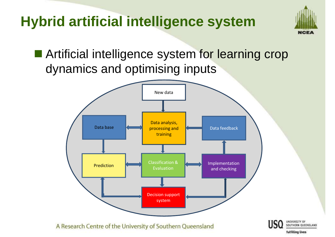# **Hybrid artificial intelligence system**



fulfilling lives

Artificial intelligence system for learning crop dynamics and optimising inputs

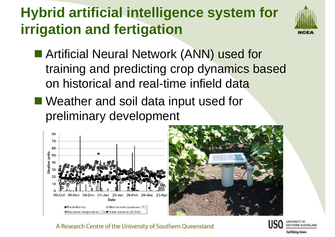## **Hybrid artificial intelligence system for irrigation and fertigation**

![](_page_7_Picture_1.jpeg)

- **Artificial Neural Network (ANN) used for** training and predicting crop dynamics based on historical and real-time infield data
- Weather and soil data input used for preliminary development

![](_page_7_Figure_4.jpeg)

![](_page_7_Picture_5.jpeg)

![](_page_7_Picture_8.jpeg)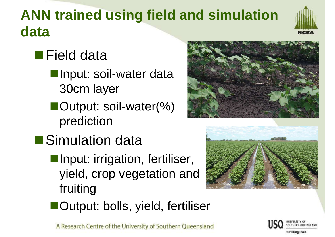# **ANN trained using field and simulation data**

# ■Field data

- **Input: soil-water data** 30cm layer
- ■Output: soil-water(%) prediction
- **Simulation data** 
	- **Input: irrigation, fertiliser,** yield, crop vegetation and fruiting

![](_page_8_Picture_6.jpeg)

![](_page_8_Picture_7.jpeg)

■Output: bolls, yield, fertiliser

![](_page_8_Picture_10.jpeg)

![](_page_8_Picture_11.jpeg)

![](_page_8_Picture_12.jpeg)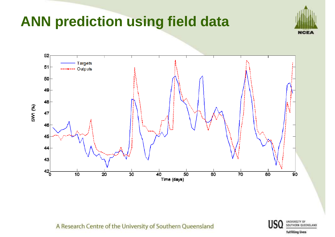### **ANN prediction using field data**

![](_page_9_Picture_1.jpeg)

![](_page_9_Figure_2.jpeg)

A Research Centre of the University of Southern Queensland

UNIVERSITY OF SOUTHERN QUEENSLAND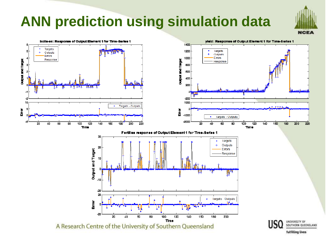# **ANN prediction using simulation data**

![](_page_10_Picture_1.jpeg)

![](_page_10_Figure_2.jpeg)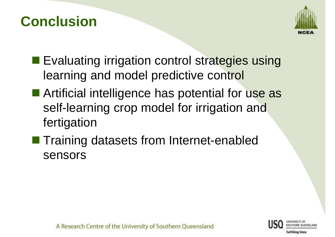#### **Conclusion**

![](_page_11_Picture_1.jpeg)

- **Evaluating irrigation control strategies using** learning and model predictive control
- Artificial intelligence has potential for use as self-learning crop model for irrigation and fertigation
- **Training datasets from Internet-enabled** sensors

![](_page_11_Picture_5.jpeg)